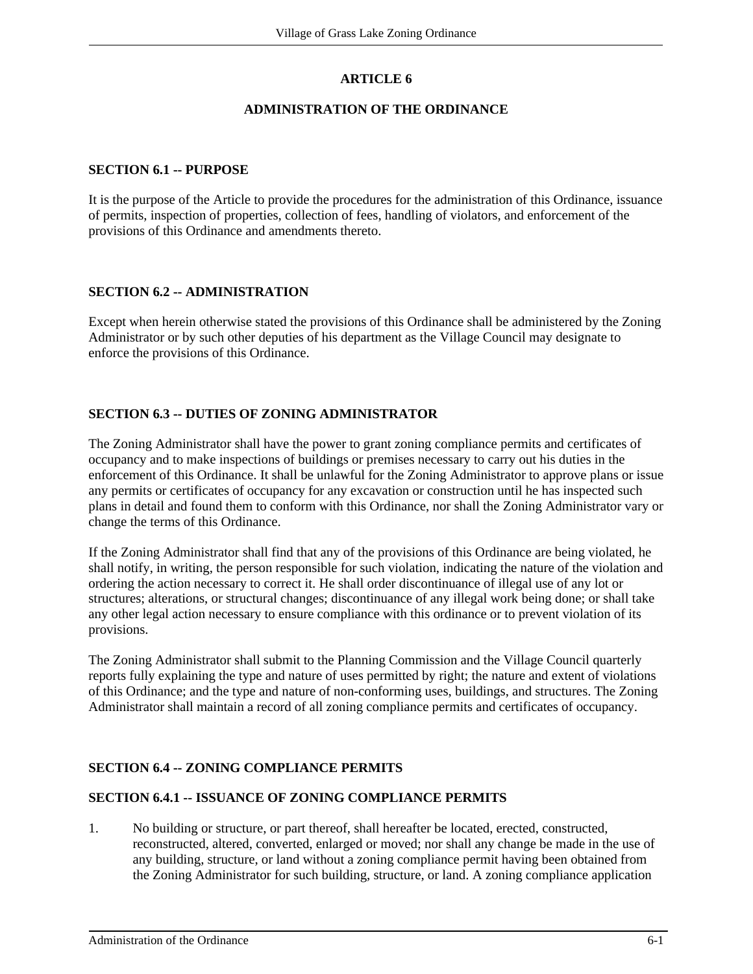# **ARTICLE 6**

## **ADMINISTRATION OF THE ORDINANCE**

#### **SECTION 6.1 -- PURPOSE**

It is the purpose of the Article to provide the procedures for the administration of this Ordinance, issuance of permits, inspection of properties, collection of fees, handling of violators, and enforcement of the provisions of this Ordinance and amendments thereto.

## **SECTION 6.2 -- ADMINISTRATION**

Except when herein otherwise stated the provisions of this Ordinance shall be administered by the Zoning Administrator or by such other deputies of his department as the Village Council may designate to enforce the provisions of this Ordinance.

#### **SECTION 6.3 -- DUTIES OF ZONING ADMINISTRATOR**

The Zoning Administrator shall have the power to grant zoning compliance permits and certificates of occupancy and to make inspections of buildings or premises necessary to carry out his duties in the enforcement of this Ordinance. It shall be unlawful for the Zoning Administrator to approve plans or issue any permits or certificates of occupancy for any excavation or construction until he has inspected such plans in detail and found them to conform with this Ordinance, nor shall the Zoning Administrator vary or change the terms of this Ordinance.

If the Zoning Administrator shall find that any of the provisions of this Ordinance are being violated, he shall notify, in writing, the person responsible for such violation, indicating the nature of the violation and ordering the action necessary to correct it. He shall order discontinuance of illegal use of any lot or structures; alterations, or structural changes; discontinuance of any illegal work being done; or shall take any other legal action necessary to ensure compliance with this ordinance or to prevent violation of its provisions.

The Zoning Administrator shall submit to the Planning Commission and the Village Council quarterly reports fully explaining the type and nature of uses permitted by right; the nature and extent of violations of this Ordinance; and the type and nature of non-conforming uses, buildings, and structures. The Zoning Administrator shall maintain a record of all zoning compliance permits and certificates of occupancy.

## **SECTION 6.4 -- ZONING COMPLIANCE PERMITS**

## **SECTION 6.4.1 -- ISSUANCE OF ZONING COMPLIANCE PERMITS**

1. No building or structure, or part thereof, shall hereafter be located, erected, constructed, reconstructed, altered, converted, enlarged or moved; nor shall any change be made in the use of any building, structure, or land without a zoning compliance permit having been obtained from the Zoning Administrator for such building, structure, or land. A zoning compliance application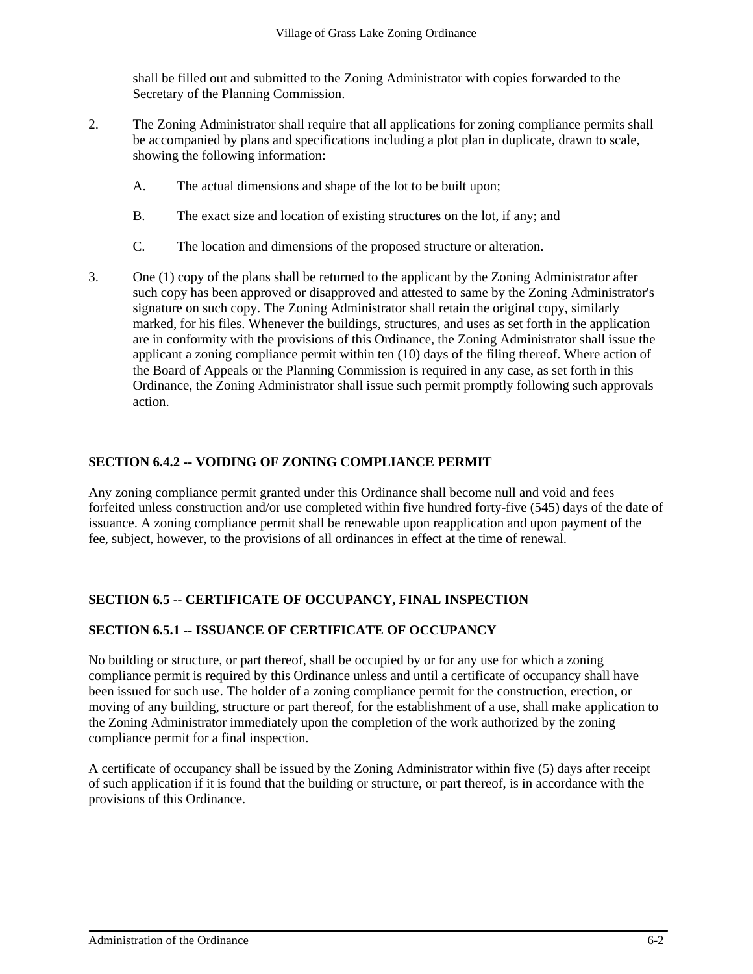shall be filled out and submitted to the Zoning Administrator with copies forwarded to the Secretary of the Planning Commission.

- 2. The Zoning Administrator shall require that all applications for zoning compliance permits shall be accompanied by plans and specifications including a plot plan in duplicate, drawn to scale, showing the following information:
	- A. The actual dimensions and shape of the lot to be built upon;
	- B. The exact size and location of existing structures on the lot, if any; and
	- C. The location and dimensions of the proposed structure or alteration.
- 3. One (1) copy of the plans shall be returned to the applicant by the Zoning Administrator after such copy has been approved or disapproved and attested to same by the Zoning Administrator's signature on such copy. The Zoning Administrator shall retain the original copy, similarly marked, for his files. Whenever the buildings, structures, and uses as set forth in the application are in conformity with the provisions of this Ordinance, the Zoning Administrator shall issue the applicant a zoning compliance permit within ten (10) days of the filing thereof. Where action of the Board of Appeals or the Planning Commission is required in any case, as set forth in this Ordinance, the Zoning Administrator shall issue such permit promptly following such approvals action.

## **SECTION 6.4.2 -- VOIDING OF ZONING COMPLIANCE PERMIT**

Any zoning compliance permit granted under this Ordinance shall become null and void and fees forfeited unless construction and/or use completed within five hundred forty-five (545) days of the date of issuance. A zoning compliance permit shall be renewable upon reapplication and upon payment of the fee, subject, however, to the provisions of all ordinances in effect at the time of renewal.

## **SECTION 6.5 -- CERTIFICATE OF OCCUPANCY, FINAL INSPECTION**

## **SECTION 6.5.1 -- ISSUANCE OF CERTIFICATE OF OCCUPANCY**

No building or structure, or part thereof, shall be occupied by or for any use for which a zoning compliance permit is required by this Ordinance unless and until a certificate of occupancy shall have been issued for such use. The holder of a zoning compliance permit for the construction, erection, or moving of any building, structure or part thereof, for the establishment of a use, shall make application to the Zoning Administrator immediately upon the completion of the work authorized by the zoning compliance permit for a final inspection.

A certificate of occupancy shall be issued by the Zoning Administrator within five (5) days after receipt of such application if it is found that the building or structure, or part thereof, is in accordance with the provisions of this Ordinance.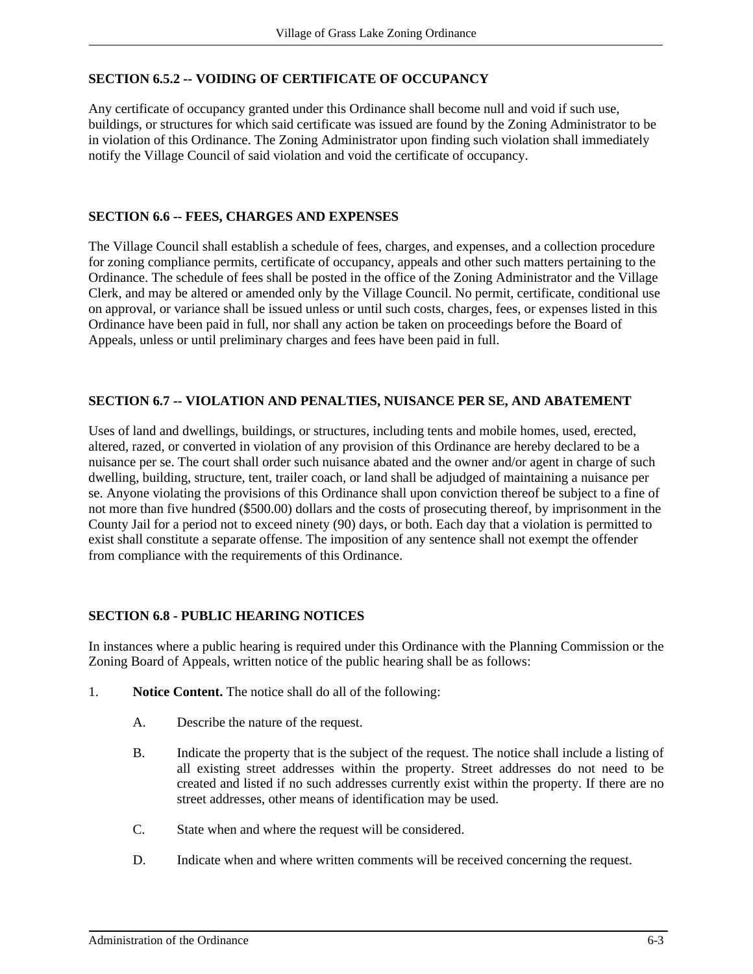# **SECTION 6.5.2 -- VOIDING OF CERTIFICATE OF OCCUPANCY**

Any certificate of occupancy granted under this Ordinance shall become null and void if such use, buildings, or structures for which said certificate was issued are found by the Zoning Administrator to be in violation of this Ordinance. The Zoning Administrator upon finding such violation shall immediately notify the Village Council of said violation and void the certificate of occupancy.

## **SECTION 6.6 -- FEES, CHARGES AND EXPENSES**

The Village Council shall establish a schedule of fees, charges, and expenses, and a collection procedure for zoning compliance permits, certificate of occupancy, appeals and other such matters pertaining to the Ordinance. The schedule of fees shall be posted in the office of the Zoning Administrator and the Village Clerk, and may be altered or amended only by the Village Council. No permit, certificate, conditional use on approval, or variance shall be issued unless or until such costs, charges, fees, or expenses listed in this Ordinance have been paid in full, nor shall any action be taken on proceedings before the Board of Appeals, unless or until preliminary charges and fees have been paid in full.

## **SECTION 6.7 -- VIOLATION AND PENALTIES, NUISANCE PER SE, AND ABATEMENT**

Uses of land and dwellings, buildings, or structures, including tents and mobile homes, used, erected, altered, razed, or converted in violation of any provision of this Ordinance are hereby declared to be a nuisance per se. The court shall order such nuisance abated and the owner and/or agent in charge of such dwelling, building, structure, tent, trailer coach, or land shall be adjudged of maintaining a nuisance per se. Anyone violating the provisions of this Ordinance shall upon conviction thereof be subject to a fine of not more than five hundred (\$500.00) dollars and the costs of prosecuting thereof, by imprisonment in the County Jail for a period not to exceed ninety (90) days, or both. Each day that a violation is permitted to exist shall constitute a separate offense. The imposition of any sentence shall not exempt the offender from compliance with the requirements of this Ordinance.

## **SECTION 6.8 - PUBLIC HEARING NOTICES**

In instances where a public hearing is required under this Ordinance with the Planning Commission or the Zoning Board of Appeals, written notice of the public hearing shall be as follows:

- 1. **Notice Content.** The notice shall do all of the following:
	- A. Describe the nature of the request.
	- B. Indicate the property that is the subject of the request. The notice shall include a listing of all existing street addresses within the property. Street addresses do not need to be created and listed if no such addresses currently exist within the property. If there are no street addresses, other means of identification may be used.
	- C. State when and where the request will be considered.
	- D. Indicate when and where written comments will be received concerning the request.